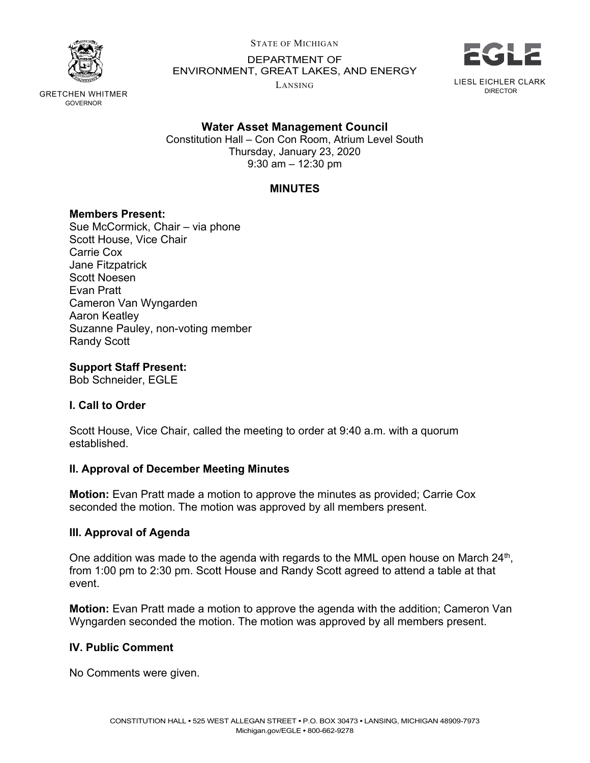

STATE OF MICHIGAN

DEPARTMENT OF ENVIRONMENT, GREAT LAKES, AND ENERGY

LANSING



LIESL EICHLER CLARK DIRECTOR

GRETCHEN WHITMER GOVERNOR

## **Water Asset Management Council**

Constitution Hall – Con Con Room, Atrium Level South Thursday, January 23, 2020 9:30 am – 12:30 pm

## **MINUTES**

### **Members Present:**

Sue McCormick, Chair – via phone Scott House, Vice Chair Carrie Cox Jane Fitzpatrick Scott Noesen Evan Pratt Cameron Van Wyngarden Aaron Keatley Suzanne Pauley, non-voting member Randy Scott

## **Support Staff Present:**

Bob Schneider, EGLE

# **I. Call to Order**

Scott House, Vice Chair, called the meeting to order at 9:40 a.m. with a quorum established.

### **II. Approval of December Meeting Minutes**

**Motion:** Evan Pratt made a motion to approve the minutes as provided; Carrie Cox seconded the motion. The motion was approved by all members present.

# **III. Approval of Agenda**

One addition was made to the agenda with regards to the MML open house on March 24<sup>th</sup>, from 1:00 pm to 2:30 pm. Scott House and Randy Scott agreed to attend a table at that event.

**Motion:** Evan Pratt made a motion to approve the agenda with the addition; Cameron Van Wyngarden seconded the motion. The motion was approved by all members present.

### **IV. Public Comment**

No Comments were given.